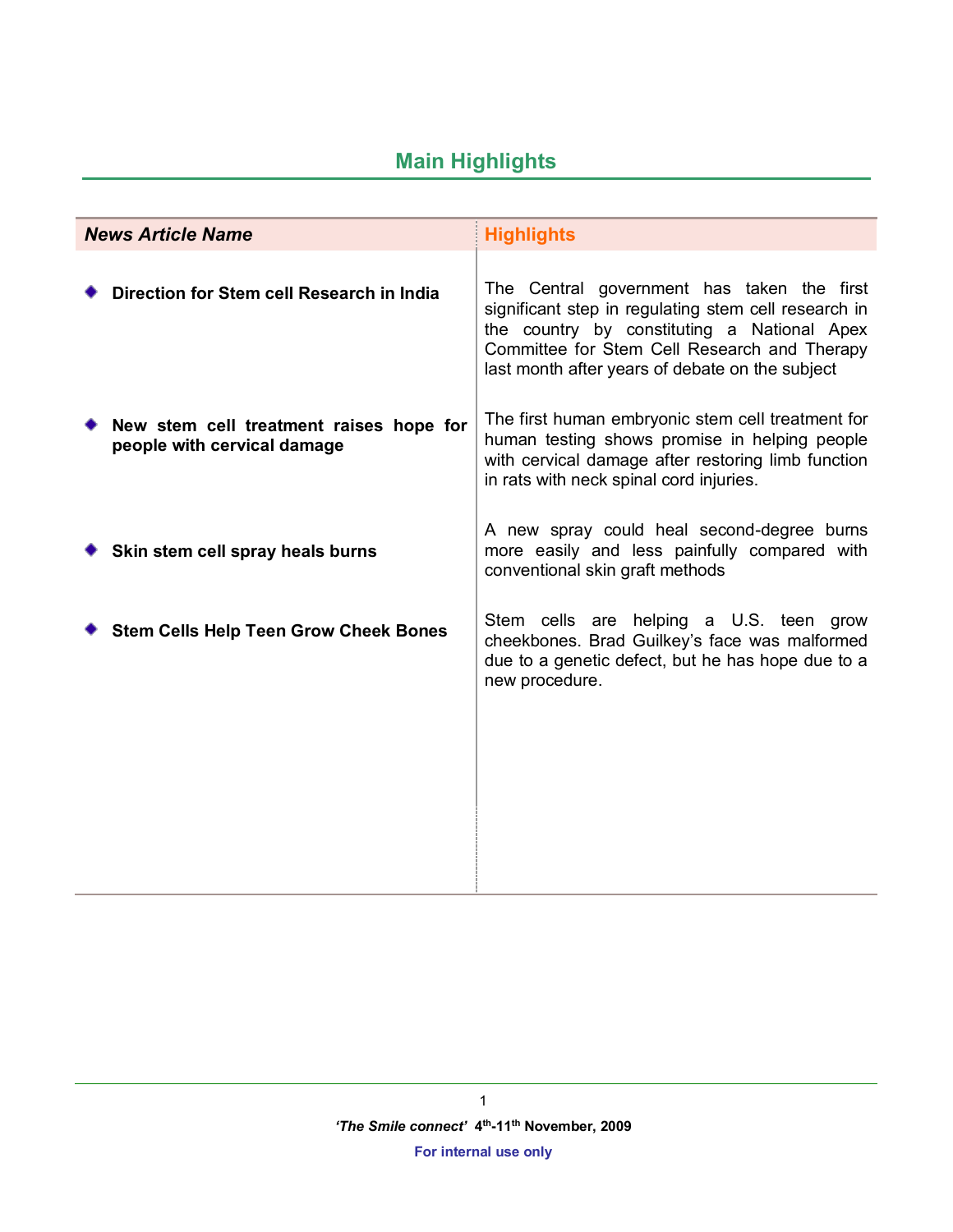# **Main Highlights**

| <b>News Article Name</b> |                                                                        | <b>Highlights</b>                                                                                                                                                                                                                                    |
|--------------------------|------------------------------------------------------------------------|------------------------------------------------------------------------------------------------------------------------------------------------------------------------------------------------------------------------------------------------------|
|                          | Direction for Stem cell Research in India                              | The Central government has taken the first<br>significant step in regulating stem cell research in<br>the country by constituting a National Apex<br>Committee for Stem Cell Research and Therapy<br>last month after years of debate on the subject |
|                          | New stem cell treatment raises hope for<br>people with cervical damage | The first human embryonic stem cell treatment for<br>human testing shows promise in helping people<br>with cervical damage after restoring limb function<br>in rats with neck spinal cord injuries.                                                  |
|                          | Skin stem cell spray heals burns                                       | A new spray could heal second-degree burns<br>more easily and less painfully compared with<br>conventional skin graft methods                                                                                                                        |
|                          | <b>Stem Cells Help Teen Grow Cheek Bones</b>                           | Stem cells are helping a U.S. teen grow<br>cheekbones. Brad Guilkey's face was malformed<br>due to a genetic defect, but he has hope due to a<br>new procedure.                                                                                      |
|                          |                                                                        |                                                                                                                                                                                                                                                      |
|                          |                                                                        |                                                                                                                                                                                                                                                      |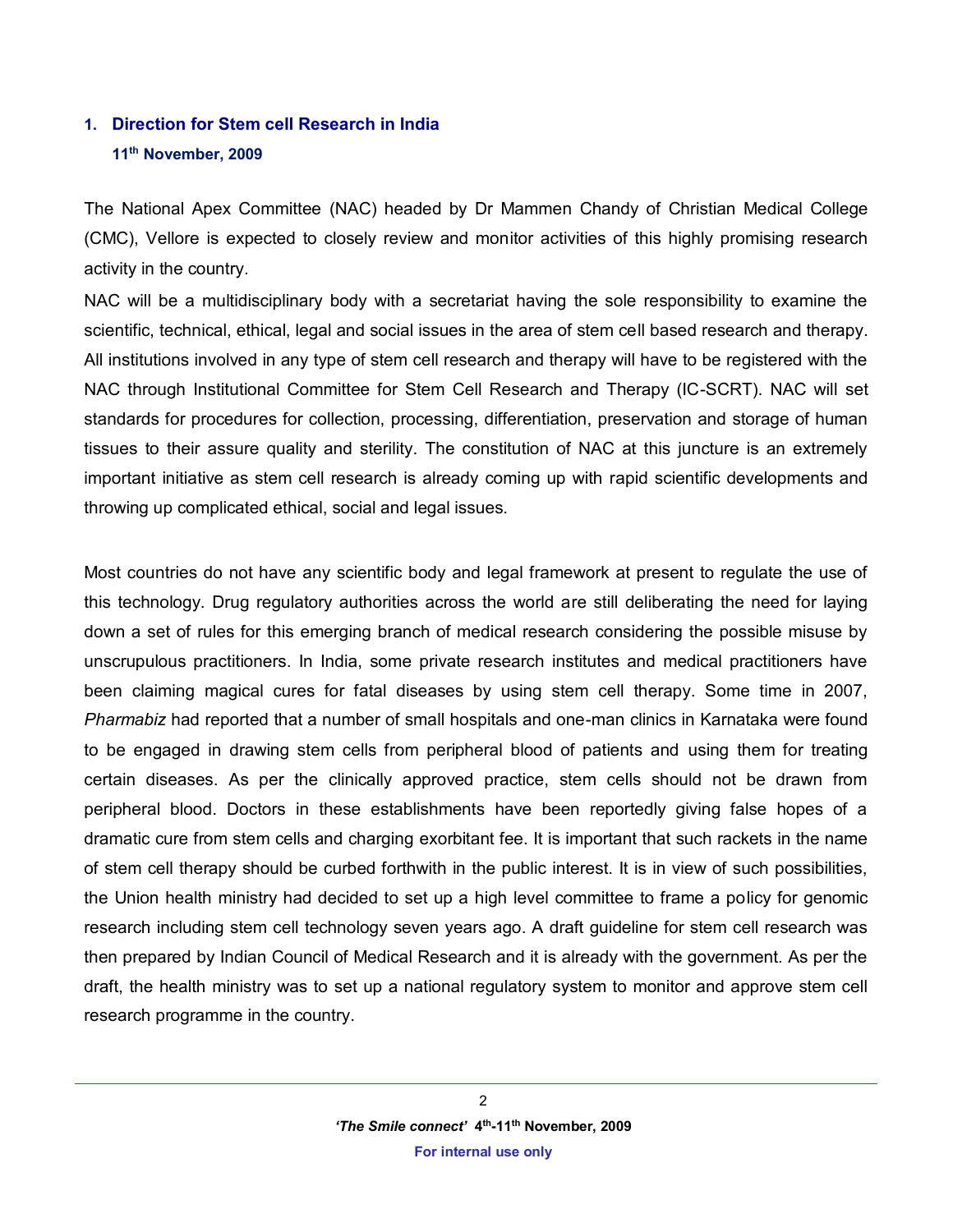# **1. Direction for Stem cell Research in India 11th November, 2009**

The National Apex Committee (NAC) headed by Dr Mammen Chandy of Christian Medical College (CMC), Vellore is expected to closely review and monitor activities of this highly promising research activity in the country.

NAC will be a multidisciplinary body with a secretariat having the sole responsibility to examine the scientific, technical, ethical, legal and social issues in the area of stem cell based research and therapy. All institutions involved in any type of stem cell research and therapy will have to be registered with the NAC through Institutional Committee for Stem Cell Research and Therapy (IC-SCRT). NAC will set standards for procedures for collection, processing, differentiation, preservation and storage of human tissues to their assure quality and sterility. The constitution of NAC at this juncture is an extremely important initiative as stem cell research is already coming up with rapid scientific developments and throwing up complicated ethical, social and legal issues.

Most countries do not have any scientific body and legal framework at present to regulate the use of this technology. Drug regulatory authorities across the world are still deliberating the need for laying down a set of rules for this emerging branch of medical research considering the possible misuse by unscrupulous practitioners. In India, some private research institutes and medical practitioners have been claiming magical cures for fatal diseases by using stem cell therapy. Some time in 2007, *Pharmabiz* had reported that a number of small hospitals and one-man clinics in Karnataka were found to be engaged in drawing stem cells from peripheral blood of patients and using them for treating certain diseases. As per the clinically approved practice, stem cells should not be drawn from peripheral blood. Doctors in these establishments have been reportedly giving false hopes of a dramatic cure from stem cells and charging exorbitant fee. It is important that such rackets in the name of stem cell therapy should be curbed forthwith in the public interest. It is in view of such possibilities, the Union health ministry had decided to set up a high level committee to frame a policy for genomic research including stem cell technology seven years ago. A draft guideline for stem cell research was then prepared by Indian Council of Medical Research and it is already with the government. As per the draft, the health ministry was to set up a national regulatory system to monitor and approve stem cell research programme in the country.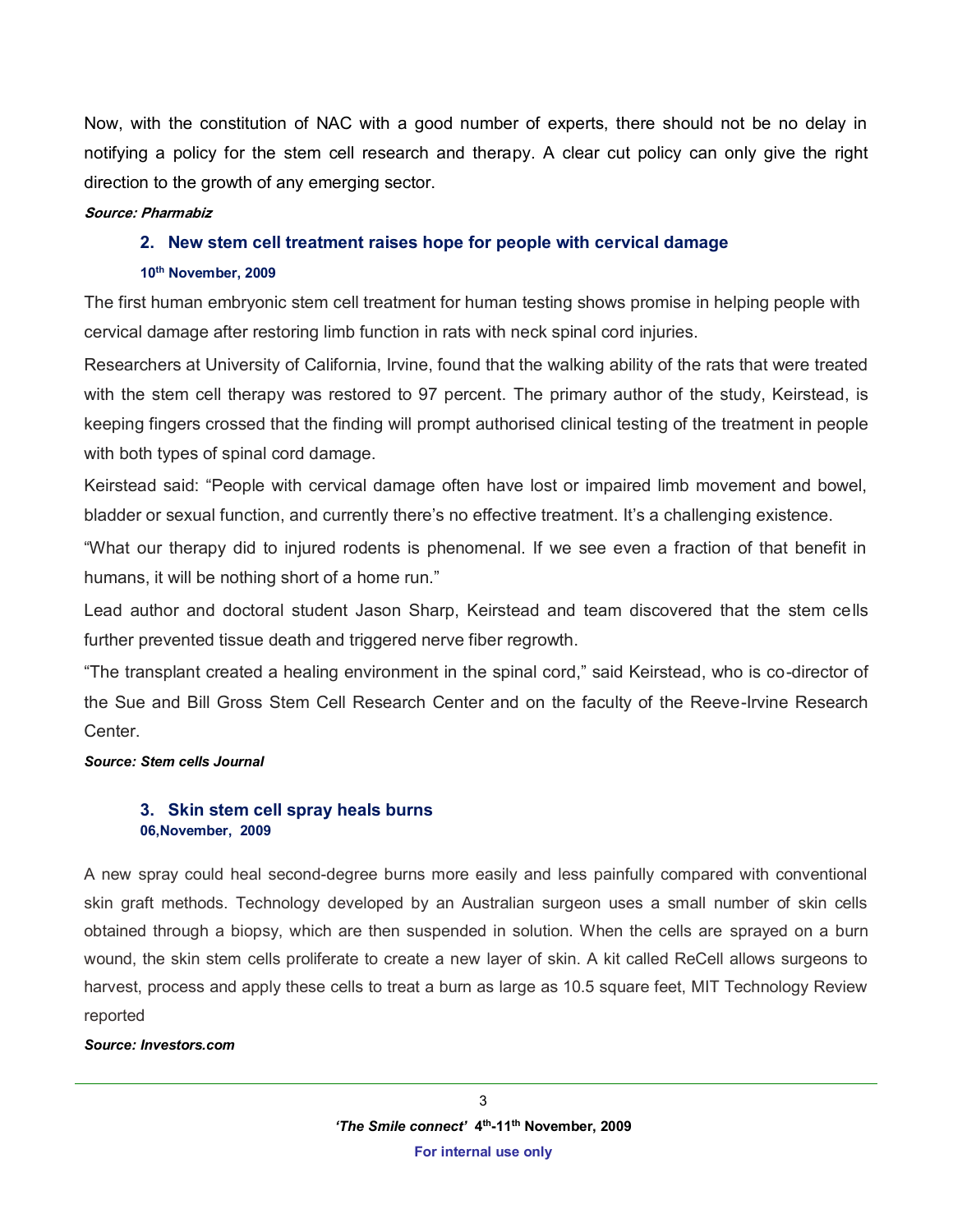Now, with the constitution of NAC with a good number of experts, there should not be no delay in notifying a policy for the stem cell research and therapy. A clear cut policy can only give the right direction to the growth of any emerging sector.

#### **Source: Pharmabiz**

### **2. New stem cell treatment raises hope for people with cervical damage**

#### **10th November, 2009**

The first human embryonic stem cell treatment for human testing shows promise in helping people with cervical damage after restoring limb function in rats with neck spinal cord injuries.

Researchers at University of California, Irvine, found that the walking ability of the rats that were treated with the stem cell therapy was restored to 97 percent. The primary author of the study, Keirstead, is keeping fingers crossed that the finding will prompt authorised clinical testing of the treatment in people with both types of spinal cord damage.

Keirstead said: "People with cervical damage often have lost or impaired limb movement and bowel, bladder or sexual function, and currently there's no effective treatment. It's a challenging existence.

"What our therapy did to injured rodents is phenomenal. If we see even a fraction of that benefit in humans, it will be nothing short of a home run."

Lead author and doctoral student Jason Sharp, Keirstead and team discovered that the stem cells further prevented tissue death and triggered nerve fiber regrowth.

"The transplant created a healing environment in the spinal cord," said Keirstead, who is co-director of the Sue and Bill Gross Stem Cell Research Center and on the faculty of the Reeve-Irvine Research Center.

#### *Source: Stem cells Journal*

# **3. Skin stem cell spray heals burns 06,November, 2009**

A new spray could heal second-degree burns more easily and less painfully compared with conventional skin graft methods. Technology developed by an Australian surgeon uses a small number of skin cells obtained through a biopsy, which are then suspended in solution. When the cells are sprayed on a burn wound, the skin stem cells proliferate to create a new layer of skin. A kit called ReCell allows surgeons to harvest, process and apply these cells to treat a burn as large as 10.5 square feet, MIT Technology Review reported

#### *Source: Investors.com*